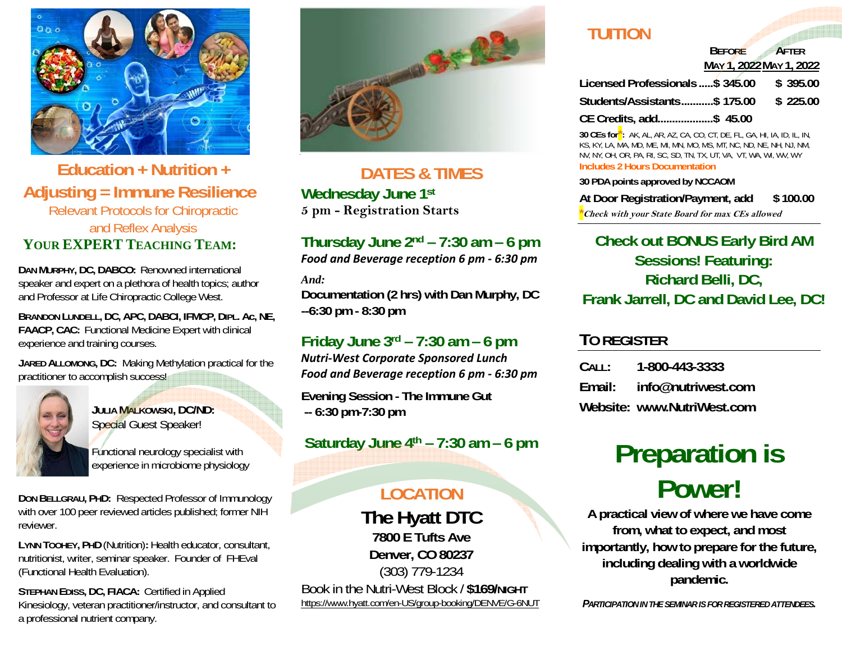

#### **Education + Nutrition + Adjusting = Immune Resilience**  Relevant Protocols for Chiropractic and Reflex Analysis **YOUR EXPERTTEACHING TEAM:**

**DAN MURPHY, DC, DABCO:** Renowned international speaker and expert on a plethora of health topics; author and Professor at Life Chiropractic College West.

**BRANDON LUNDELL, DC, APC, DABCI, IFMCP, DIPL. Ac, NE, FAACP, CAC:** Functional Medicine Expert with clinical experience and training courses.

**JARED ALLOMONG, DC:** Making Methylation practical for the practitioner to accomplish success!



**JULIA MALKOWSKI, DC/ND:** Special Guest Speaker!

Functional neurology specialist with experience in microbiome physiology

**DON BELLGRAU, PHD:** Respected Professor of Immunology with over 100 peer reviewed articles published; former NIH reviewer.

**LYNN TOOHEY, PHD** (Nutrition)**:** Health educator, consultant, nutritionist, writer, seminar speaker. Founder of FHEval (Functional Health Evaluation).

**STEPHAN EDISS, DC, FIACA:** Certified in Applied Kinesiology, veteran practitioner/instructor, and consultant to a professional nutrient company.



**DATES & TIMES Wednesday June 1st 5 pm - Registration Starts** 

#### **Thursday June 2nd – 7:30 am – 6 pm**

*Food and Beverage reception 6 pm ‐ 6:30 pm*

*And:* 

**Documentation (2 hrs) with Dan Murphy, DC --6:30 pm - 8:30 pm** 

#### **Friday June 3rd – 7:30 am – 6 pm**

*Nutri‐West Corporate Sponsored Lunch Food and Beverage reception 6 pm ‐ 6:30 pm*

**Evening Session - The Immune Gut -- 6:30 pm-7:30 pm** 

**Saturday June 4th – 7:30 am – 6 pm** 

#### **LOCATION**

**The Hyatt DTC 7800 E Tufts Ave Denver, CO 80237** (303) 779-1234 Book in the Nutri-West Block / \$169/NIGHT https://www.hyatt.com/en-US/group-booking/DENVE/G-6NUT

### **TUITION**

#### **BEFORE AFTER MAY 1, 2022 MAY 1, 2022**

| Licensed Professionals \$ 345.00       |  | \$ 395.00 |
|----------------------------------------|--|-----------|
| Students/Assistants\$ 175.00 \$ 225.00 |  |           |
| CE Credits, add\$ 45.00                |  |           |

**30 CEs for\*:** AK, AL, AR, AZ, CA, CO, CT, DE, FL, GA, HI, IA, ID, IL, IN, KS, KY, LA, MA, MD, ME, MI, MN, MO, MS, MT, NC, ND, NE, NH, NJ, NM, NV, NY, OH, OR, PA, RI, SC, SD, TN, TX, UT, VA, VT, WA, WI, WV, WY **Includes 2 Hours Documentation** 

#### **30 PDA points approved by NCCAOM**

**At Door Registration/Payment, add \$ 100.00** 

**\*Check with your State Board for max CEs allowed**

#### **Check out BONUS Early Bird AM Sessions! Featuring: Richard Belli, DC, Frank Jarrell, DC and David Lee, DC!**

#### **TO REGISTER**

**CALL: 1-800-443-3333 Email: info@nutriwest.com Website: www.NutriWest.com** 

## **Preparation is Power!**

**A practical view of where we have come from, what to expect, and most importantly, how to prepare for the future, including dealing with a worldwide pandemic.** 

*PARTICIPATION IN THE SEMINAR IS FOR REGISTERED ATTENDEES.*